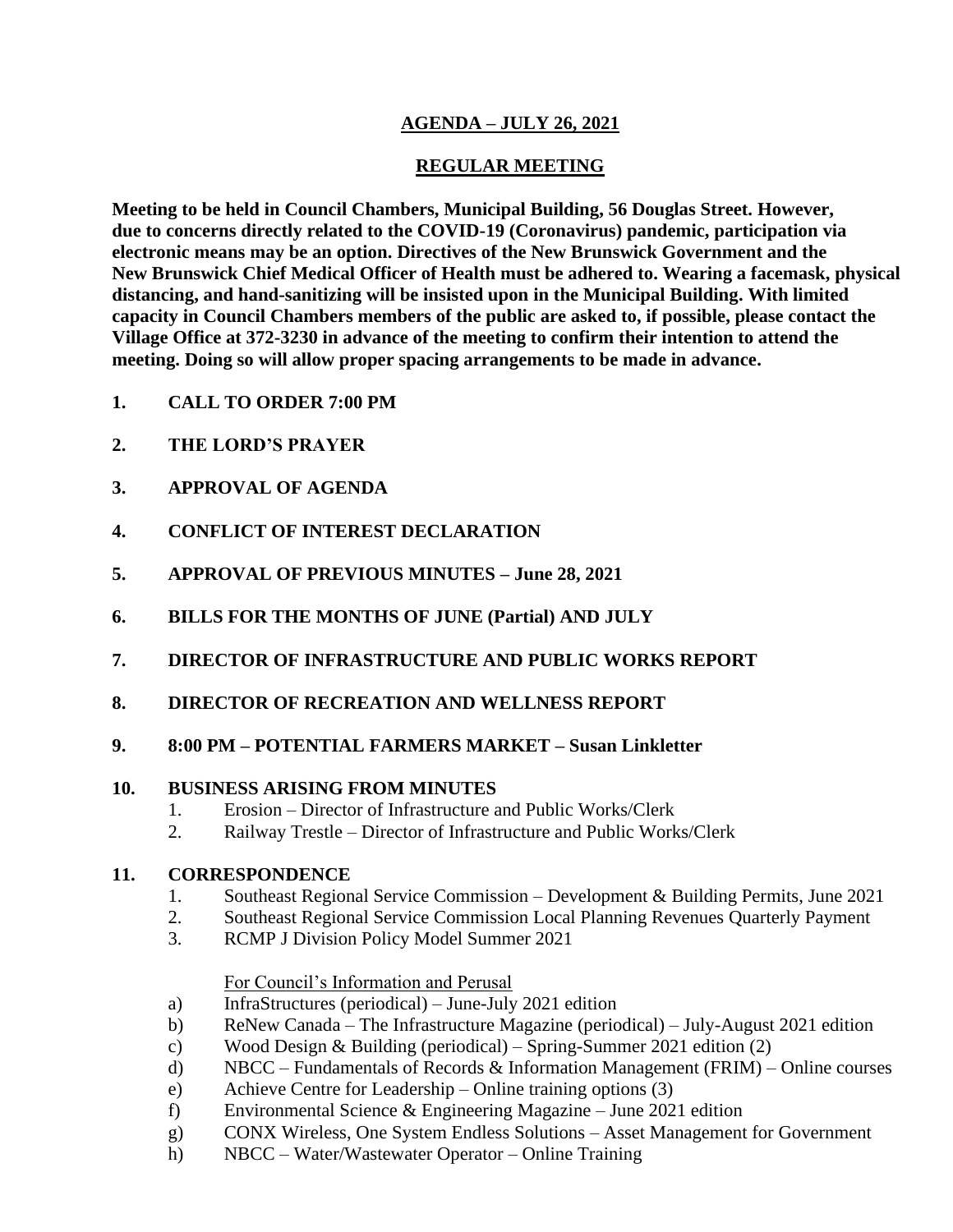# **AGENDA – JULY 26, 2021**

# **REGULAR MEETING**

**Meeting to be held in Council Chambers, Municipal Building, 56 Douglas Street. However, due to concerns directly related to the COVID-19 (Coronavirus) pandemic, participation via electronic means may be an option. Directives of the New Brunswick Government and the New Brunswick Chief Medical Officer of Health must be adhered to. Wearing a facemask, physical distancing, and hand-sanitizing will be insisted upon in the Municipal Building. With limited capacity in Council Chambers members of the public are asked to, if possible, please contact the Village Office at 372-3230 in advance of the meeting to confirm their intention to attend the meeting. Doing so will allow proper spacing arrangements to be made in advance.**

- **1. CALL TO ORDER 7:00 PM**
- **2. THE LORD'S PRAYER**
- **3. APPROVAL OF AGENDA**
- **4. CONFLICT OF INTEREST DECLARATION**
- **5. APPROVAL OF PREVIOUS MINUTES – June 28, 2021**
- **6. BILLS FOR THE MONTHS OF JUNE (Partial) AND JULY**
- **7. DIRECTOR OF INFRASTRUCTURE AND PUBLIC WORKS REPORT**
- **8. DIRECTOR OF RECREATION AND WELLNESS REPORT**
- **9. 8:00 PM – POTENTIAL FARMERS MARKET – Susan Linkletter**

# **10. BUSINESS ARISING FROM MINUTES**

- 1. Erosion Director of Infrastructure and Public Works/Clerk
- 2. Railway Trestle Director of Infrastructure and Public Works/Clerk

### **11. CORRESPONDENCE**

- 1. Southeast Regional Service Commission Development & Building Permits, June 2021
- 2. Southeast Regional Service Commission Local Planning Revenues Quarterly Payment
- 3. RCMP J Division Policy Model Summer 2021

### For Council's Information and Perusal

- a) InfraStructures (periodical) June-July 2021 edition
- b) ReNew Canada The Infrastructure Magazine (periodical) July-August 2021 edition
- c) Wood Design & Building (periodical) Spring-Summer 2021 edition (2)
- d) NBCC Fundamentals of Records & Information Management (FRIM) Online courses
- e) Achieve Centre for Leadership Online training options (3)
- f) Environmental Science & Engineering Magazine June 2021 edition
- g) CONX Wireless, One System Endless Solutions Asset Management for Government
- h) NBCC Water/Wastewater Operator Online Training